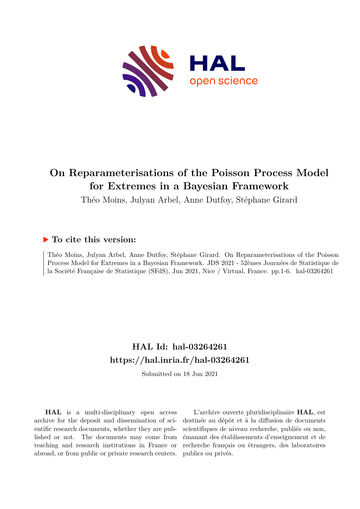

# **On Reparameterisations of the Poisson Process Model for Extremes in a Bayesian Framework**

Théo Moins, Julyan Arbel, Anne Dutfoy, Stéphane Girard

## **To cite this version:**

Théo Moins, Julyan Arbel, Anne Dutfoy, Stéphane Girard. On Reparameterisations of the Poisson Process Model for Extremes in a Bayesian Framework. JDS 2021 - 52èmes Journées de Statistique de la Société Française de Statistique (SFdS), Jun 2021, Nice / Virtual, France. pp.1-6. hal-03264261

# **HAL Id: hal-03264261 <https://hal.inria.fr/hal-03264261>**

Submitted on 18 Jun 2021

**HAL** is a multi-disciplinary open access archive for the deposit and dissemination of scientific research documents, whether they are published or not. The documents may come from teaching and research institutions in France or abroad, or from public or private research centers.

L'archive ouverte pluridisciplinaire **HAL**, est destinée au dépôt et à la diffusion de documents scientifiques de niveau recherche, publiés ou non, émanant des établissements d'enseignement et de recherche français ou étrangers, des laboratoires publics ou privés.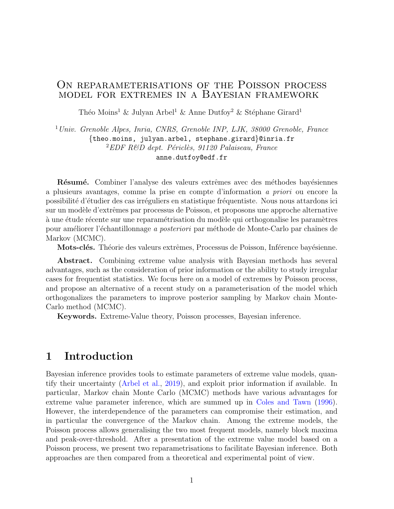### ON REPARAMETERISATIONS OF THE POISSON PROCESS model for extremes in a Bayesian framework

Théo Moins<sup>1</sup> & Julyan Arbel<sup>1</sup> & Anne Dutfoy<sup>2</sup> & Stéphane Girard<sup>1</sup>

<sup>1</sup>Univ. Grenoble Alpes, Inria, CNRS, Grenoble INP, LJK, 38000 Grenoble, France {theo.moins, julyan.arbel, stephane.girard}@inria.fr  ${}^{2}EDF$  R&D dept. Périclès, 91120 Palaiseau, France anne.dutfoy@edf.fr

Résumé. Combiner l'analyse des valeurs extrêmes avec des méthodes bayésiennes a plusieurs avantages, comme la prise en compte d'information a priori ou encore la possibilité d'étudier des cas irréguliers en statistique fréquentiste. Nous nous attardons ici sur un modèle d'extrêmes par processus de Poisson, et proposons une approche alternative à une étude récente sur une reparamétrisation du modèle qui orthogonalise les paramètres pour améliorer l'échantillonnage *a posteriori* par méthode de Monte-Carlo par chaînes de Markov (MCMC).

Mots-clés. Théorie des valeurs extrêmes, Processus de Poisson, Inférence bayésienne.

Abstract. Combining extreme value analysis with Bayesian methods has several advantages, such as the consideration of prior information or the ability to study irregular cases for frequentist statistics. We focus here on a model of extremes by Poisson process, and propose an alternative of a recent study on a parameterisation of the model which orthogonalizes the parameters to improve posterior sampling by Markov chain Monte-Carlo method (MCMC).

Keywords. Extreme-Value theory, Poisson processes, Bayesian inference.

# 1 Introduction

Bayesian inference provides tools to estimate parameters of extreme value models, quantify their uncertainty (Arbel et al., 2019), and exploit prior information if available. In particular, Markov chain Monte Carlo (MCMC) methods have various advantages for extreme value parameter inference, which are summed up in Coles and Tawn (1996). However, the interdependence of the parameters can compromise their estimation, and in particular the convergence of the Markov chain. Among the extreme models, the Poisson process allows generalising the two most frequent models, namely block maxima and peak-over-threshold. After a presentation of the extreme value model based on a Poisson process, we present two reparametrisations to facilitate Bayesian inference. Both approaches are then compared from a theoretical and experimental point of view.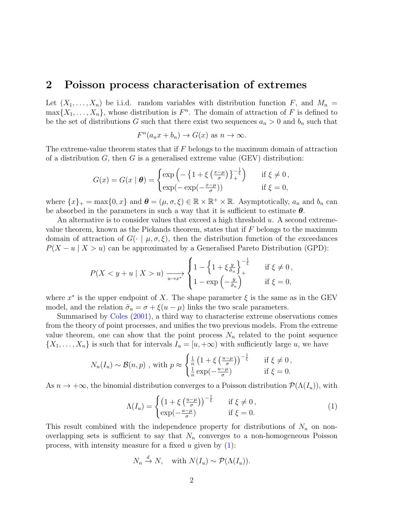### 2 Poisson process characterisation of extremes

Let  $(X_1, \ldots, X_n)$  be i.i.d. random variables with distribution function F, and  $M_n =$  $\max\{X_1,\ldots,X_n\}$ , whose distribution is  $F^n$ . The domain of attraction of F is defined to be the set of distributions G such that there exist two sequences  $a_n > 0$  and  $b_n$  such that

$$
F^{n}(a_{n}x+b_{n}) \to G(x) \text{ as } n \to \infty.
$$

The extreme-value theorem states that if  $F$  belongs to the maximum domain of attraction of a distribution  $G$ , then  $G$  is a generalised extreme value (GEV) distribution:

$$
G(x) = G(x | \boldsymbol{\theta}) = \begin{cases} \exp\left(-\left\{1 + \xi \left(\frac{x-\mu}{\sigma}\right)\right\}^{-\frac{1}{\xi}}_{+}\right) & \text{if } \xi \neq 0, \\ \exp(-\exp(-\frac{x-\mu}{\sigma})) & \text{if } \xi = 0, \end{cases}
$$

where  $\{x\}_+ = \max\{0, x\}$  and  $\boldsymbol{\theta} = (\mu, \sigma, \xi) \in \mathbb{R} \times \mathbb{R}^+ \times \mathbb{R}$ . Asymptotically,  $a_n$  and  $b_n$  can be absorbed in the parameters in such a way that it is sufficient to estimate  $\theta$ .

An alternative is to consider values that exceed a high threshold u. A second extremevalue theorem, known as the Pickands theorem, states that if  $F$  belongs to the maximum domain of attraction of  $G(\cdot | \mu, \sigma, \xi)$ , then the distribution function of the exceedances  $P(X - u \mid X > u)$  can be approximated by a Generalised Pareto Distribution (GPD):

$$
P(X < y + u \mid X > u) \xrightarrow[u \to x^*]{} \begin{cases} 1 - \left\{1 + \xi \frac{y}{\tilde{\sigma}_u}\right\}_+^{-\frac{1}{\xi}} & \text{if } \xi \neq 0, \\ 1 - \exp\left(-\frac{y}{\tilde{\sigma}_u}\right) & \text{if } \xi = 0, \end{cases}
$$

where  $x^*$  is the upper endpoint of X. The shape parameter  $\xi$  is the same as in the GEV model, and the relation  $\tilde{\sigma}_u = \sigma + \xi(u - \mu)$  links the two scale parameters.

Summarised by Coles (2001), a third way to characterise extreme observations comes from the theory of point processes, and unifies the two previous models. From the extreme value theorem, one can show that the point process  $N_n$  related to the point sequence  $\{X_1, \ldots, X_n\}$  is such that for intervals  $I_u = [u, +\infty)$  with sufficiently large u, we have

$$
N_n(I_u) \sim \mathcal{B}(n, p) \text{ , with } p \approx \begin{cases} \frac{1}{n} \left( 1 + \xi \left( \frac{u - \mu}{\sigma} \right) \right)^{-\frac{1}{\xi}} & \text{ if } \xi \neq 0, \\ \frac{1}{n} \exp\left( -\frac{u - \mu}{\sigma} \right) & \text{ if } \xi = 0. \end{cases}
$$

As  $n \to +\infty$ , the binomial distribution converges to a Poisson distribution  $\mathcal{P}(\Lambda(I_u))$ , with

$$
\Lambda(I_u) = \begin{cases} \left(1 + \xi \left(\frac{u - \mu}{\sigma}\right)\right)^{-\frac{1}{\xi}} & \text{if } \xi \neq 0, \\ \exp(-\frac{u - \mu}{\sigma}) & \text{if } \xi = 0. \end{cases}
$$
 (1)

This result combined with the independence property for distributions of  $N_n$  on nonoverlapping sets is sufficient to say that  $N_n$  converges to a non-homogeneous Poisson process, with intensity measure for a fixed u given by  $(1)$ :

$$
N_n \xrightarrow{d} N, \quad \text{with } N(I_u) \sim \mathcal{P}(\Lambda(I_u)).
$$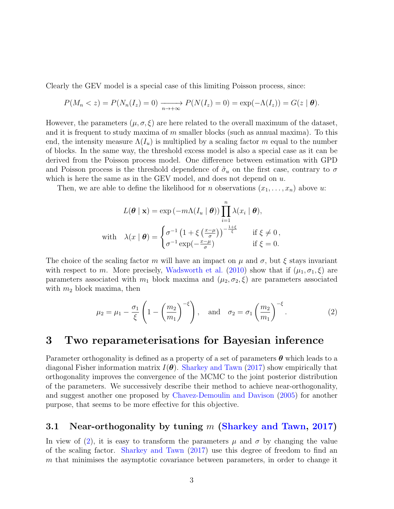Clearly the GEV model is a special case of this limiting Poisson process, since:

$$
P(M_n < z) = P(N_n(I_z) = 0) \xrightarrow[n \to +\infty]{} P(N(I_z) = 0) = \exp(-\Lambda(I_z)) = G(z \mid \boldsymbol{\theta}).
$$

However, the parameters  $(\mu, \sigma, \xi)$  are here related to the overall maximum of the dataset, and it is frequent to study maxima of m smaller blocks (such as annual maxima). To this end, the intensity measure  $\Lambda(I_u)$  is multiplied by a scaling factor m equal to the number of blocks. In the same way, the threshold excess model is also a special case as it can be derived from the Poisson process model. One difference between estimation with GPD and Poisson process is the threshold dependence of  $\tilde{\sigma}_u$  on the first case, contrary to  $\sigma$ which is here the same as in the GEV model, and does not depend on  $u$ .

Then, we are able to define the likelihood for n observations  $(x_1, \ldots, x_n)$  above u:

$$
L(\boldsymbol{\theta} \mid \mathbf{x}) = \exp(-m\Lambda(I_u \mid \boldsymbol{\theta})) \prod_{i=1}^n \lambda(x_i \mid \boldsymbol{\theta}),
$$
  
with 
$$
\lambda(x \mid \boldsymbol{\theta}) = \begin{cases} \sigma^{-1} \left(1 + \xi \left(\frac{x - \mu}{\sigma}\right)\right)^{-\frac{1 + \xi}{\xi}} & \text{if } \xi \neq 0, \\ \sigma^{-1} \exp(-\frac{x - \mu}{\sigma}) & \text{if } \xi = 0. \end{cases}
$$

The choice of the scaling factor m will have an impact on  $\mu$  and  $\sigma$ , but  $\xi$  stays invariant with respect to m. More precisely, Wadsworth et al. (2010) show that if  $(\mu_1, \sigma_1, \xi)$  are parameters associated with  $m_1$  block maxima and  $(\mu_2, \sigma_2, \xi)$  are parameters associated with  $m_2$  block maxima, then

$$
\mu_2 = \mu_1 - \frac{\sigma_1}{\xi} \left( 1 - \left( \frac{m_2}{m_1} \right)^{-\xi} \right), \quad \text{and} \quad \sigma_2 = \sigma_1 \left( \frac{m_2}{m_1} \right)^{-\xi}.
$$
 (2)

### 3 Two reparameterisations for Bayesian inference

Parameter orthogonality is defined as a property of a set of parameters  $\theta$  which leads to a diagonal Fisher information matrix  $I(\theta)$ . Sharkey and Tawn (2017) show empirically that orthogonality improves the convergence of the MCMC to the joint posterior distribution of the parameters. We successively describe their method to achieve near-orthogonality, and suggest another one proposed by Chavez-Demoulin and Davison (2005) for another purpose, that seems to be more effective for this objective.

#### 3.1 Near-orthogonality by tuning  $m$  (Sharkey and Tawn, 2017)

In view of (2), it is easy to transform the parameters  $\mu$  and  $\sigma$  by changing the value of the scaling factor. Sharkey and Tawn (2017) use this degree of freedom to find an m that minimises the asymptotic covariance between parameters, in order to change it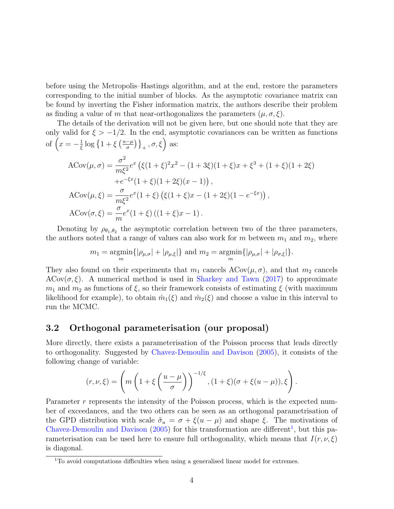before using the Metropolis–Hastings algorithm, and at the end, restore the parameters corresponding to the initial number of blocks. As the asymptotic covariance matrix can be found by inverting the Fisher information matrix, the authors describe their problem as finding a value of m that near-orthogonalizes the parameters  $(\mu, \sigma, \xi)$ .

The details of the derivation will not be given here, but one should note that they are only valid for  $\xi > -1/2$ . In the end, asymptotic covariances can be written as functions of  $\left(x=-\frac{1}{5}\right)$  $\frac{1}{\xi} \log \left\{ 1 + \xi \left( \frac{u - \mu}{\sigma} \right) \right\}$  $\left\{\frac{-\mu}{\sigma}\right\}\right\}_+$ ,  $\sigma$ ,  $\xi$ ) as:

$$
\begin{aligned} \text{ACov}(\mu,\sigma) &= \frac{\sigma^2}{m\xi^2} e^x \left( \xi (1+\xi)^2 x^2 - (1+3\xi)(1+\xi)x + \xi^3 + (1+\xi)(1+2\xi) \right. \\ &\quad \left. + e^{-\xi x} (1+\xi)(1+2\xi)(x-1) \right), \\ \text{ACov}(\mu,\xi) &= \frac{\sigma}{m\xi^2} e^x (1+\xi) \left( \xi (1+\xi)x - (1+2\xi)(1-e^{-\xi x}) \right), \\ \text{ACov}(\sigma,\xi) &= \frac{\sigma}{m} e^x (1+\xi) \left( (1+\xi)x - 1 \right). \end{aligned}
$$

Denoting by  $\rho_{\theta_1,\theta_2}$  the asymptotic correlation between two of the three parameters, the authors noted that a range of values can also work for m between  $m_1$  and  $m_2$ , where

$$
m_1 = \underset{m}{\text{argmin}} \{ |\rho_{\mu,\sigma}| + |\rho_{\mu,\xi}| \}
$$
 and  $m_2 = \underset{m}{\text{argmin}} \{ |\rho_{\mu,\sigma}| + |\rho_{\sigma,\xi}| \}.$ 

They also found on their experiments that  $m_1$  cancels  $ACov(\mu, \sigma)$ , and that  $m_2$  cancels  $A\text{Cov}(\sigma, \xi)$ . A numerical method is used in Sharkey and Tawn (2017) to approximate  $m_1$  and  $m_2$  as functions of  $\xi$ , so their framework consists of estimating  $\xi$  (with maximum likelihood for example), to obtain  $\hat{m}_1(\xi)$  and  $\hat{m}_2(\xi)$  and choose a value in this interval to run the MCMC.

#### 3.2 Orthogonal parameterisation (our proposal)

More directly, there exists a parameterisation of the Poisson process that leads directly to orthogonality. Suggested by Chavez-Demoulin and Davison (2005), it consists of the following change of variable:

$$
(r,\nu,\xi) = \left(m\left(1+\xi\left(\frac{u-\mu}{\sigma}\right)\right)^{-1/\xi}, (1+\xi)(\sigma+\xi(u-\mu)), \xi\right).
$$

Parameter r represents the intensity of the Poisson process, which is the expected number of exceedances, and the two others can be seen as an orthogonal parametrisation of the GPD distribution with scale  $\tilde{\sigma}_u = \sigma + \xi(u - \mu)$  and shape  $\xi$ . The motivations of Chavez-Demoulin and Davison  $(2005)$  for this transformation are different<sup>1</sup>, but this parameterisation can be used here to ensure full orthogonality, which means that  $I(r, \nu, \xi)$ is diagonal.

<sup>&</sup>lt;sup>1</sup>To avoid computations difficulties when using a generalised linear model for extremes.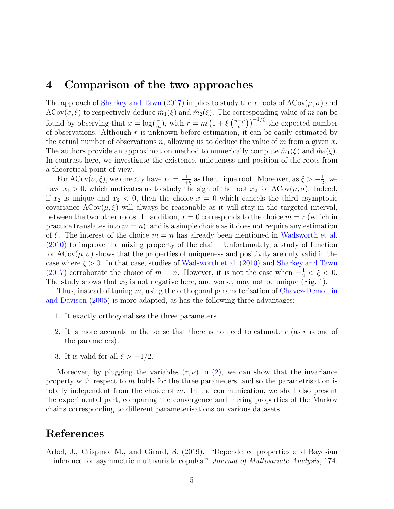## 4 Comparison of the two approaches

The approach of Sharkey and Tawn (2017) implies to study the x roots of  $A\text{Cov}(\mu, \sigma)$  and  $A\text{Cov}(\sigma,\xi)$  to respectively deduce  $\hat{m}_1(\xi)$  and  $\hat{m}_2(\xi)$ . The corresponding value of m can be found by observing that  $x = \log(\frac{r}{m})$ , with  $r = m\left(1 + \xi\left(\frac{u-\mu}{\sigma}\right)\right)$  $\left(\frac{-\mu}{\sigma}\right)\right)^{-1/\xi}$  the expected number of observations. Although  $r$  is unknown before estimation, it can be easily estimated by the actual number of observations n, allowing us to deduce the value of m from a given x. The authors provide an approximation method to numerically compute  $\hat{m}_1(\xi)$  and  $\hat{m}_2(\xi)$ . In contrast here, we investigate the existence, uniqueness and position of the roots from a theoretical point of view.

For ACov $(\sigma, \xi)$ , we directly have  $x_1 = \frac{1}{1+\epsilon}$  $\frac{1}{1+\xi}$  as the unique root. Moreover, as  $\xi > -\frac{1}{2}$  $\frac{1}{2}$ , we have  $x_1 > 0$ , which motivates us to study the sign of the root  $x_2$  for  $ACov(\mu, \sigma)$ . Indeed, if  $x_2$  is unique and  $x_2 < 0$ , then the choice  $x = 0$  which cancels the third asymptotic covariance  $ACov(\mu, \xi)$  will always be reasonable as it will stay in the targeted interval, between the two other roots. In addition,  $x = 0$  corresponds to the choice  $m = r$  (which in practice translates into  $m = n$ , and is a simple choice as it does not require any estimation of  $\xi$ . The interest of the choice  $m = n$  has already been mentioned in Wadsworth et al. (2010) to improve the mixing property of the chain. Unfortunately, a study of function for  $A\text{Cov}(\mu, \sigma)$  shows that the properties of uniqueness and positivity are only valid in the case where  $\xi > 0$ . In that case, studies of Wadsworth et al. (2010) and Sharkey and Tawn (2017) corroborate the choice of  $m = n$ . However, it is not the case when  $-\frac{1}{2} < \xi < 0$ . The study shows that  $x_2$  is not negative here, and worse, may not be unique (Fig. 1).

Thus, instead of tuning  $m$ , using the orthogonal parameterisation of Chavez-Demoulin and Davison (2005) is more adapted, as has the following three advantages:

- 1. It exactly orthogonalises the three parameters.
- 2. It is more accurate in the sense that there is no need to estimate r (as r is one of the parameters).
- 3. It is valid for all  $\xi > -1/2$ .

Moreover, by plugging the variables  $(r, \nu)$  in  $(2)$ , we can show that the invariance property with respect to m holds for the three parameters, and so the parametrisation is totally independent from the choice of  $m$ . In the communication, we shall also present the experimental part, comparing the convergence and mixing properties of the Markov chains corresponding to different parameterisations on various datasets.

# References

Arbel, J., Crispino, M., and Girard, S. (2019). "Dependence properties and Bayesian inference for asymmetric multivariate copulas." Journal of Multivariate Analysis, 174.